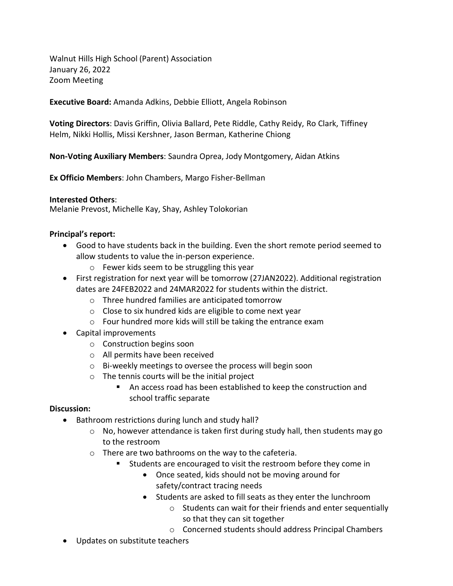Walnut Hills High School (Parent) Association January 26, 2022 Zoom Meeting

**Executive Board:** Amanda Adkins, Debbie Elliott, Angela Robinson

**Voting Directors**: Davis Griffin, Olivia Ballard, Pete Riddle, Cathy Reidy, Ro Clark, Tiffiney Helm, Nikki Hollis, Missi Kershner, Jason Berman, Katherine Chiong

**Non-Voting Auxiliary Members**: Saundra Oprea, Jody Montgomery, Aidan Atkins

**Ex Officio Members**: John Chambers, Margo Fisher-Bellman

### **Interested Others**:

Melanie Prevost, Michelle Kay, Shay, Ashley Tolokorian

### **Principal's report:**

- Good to have students back in the building. Even the short remote period seemed to allow students to value the in-person experience.
	- o Fewer kids seem to be struggling this year
- First registration for next year will be tomorrow (27JAN2022). Additional registration dates are 24FEB2022 and 24MAR2022 for students within the district.
	- o Three hundred families are anticipated tomorrow
	- o Close to six hundred kids are eligible to come next year
	- o Four hundred more kids will still be taking the entrance exam
- Capital improvements
	- o Construction begins soon
	- o All permits have been received
	- o Bi-weekly meetings to oversee the process will begin soon
	- o The tennis courts will be the initial project
		- An access road has been established to keep the construction and school traffic separate

### **Discussion:**

- Bathroom restrictions during lunch and study hall?
	- o No, however attendance is taken first during study hall, then students may go to the restroom
	- o There are two bathrooms on the way to the cafeteria.
		- **Students are encouraged to visit the restroom before they come in** 
			- Once seated, kids should not be moving around for safety/contract tracing needs
			- Students are asked to fill seats as they enter the lunchroom
				- o Students can wait for their friends and enter sequentially so that they can sit together
				- o Concerned students should address Principal Chambers
- Updates on substitute teachers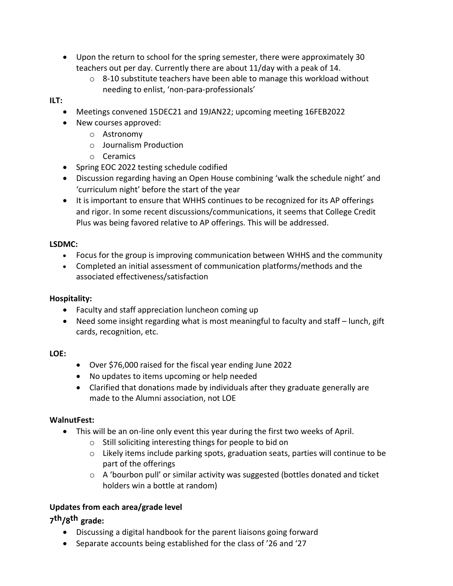- Upon the return to school for the spring semester, there were approximately 30 teachers out per day. Currently there are about 11/day with a peak of 14.
	- o 8-10 substitute teachers have been able to manage this workload without needing to enlist, 'non-para-professionals'

# **ILT:**

- Meetings convened 15DEC21 and 19JAN22; upcoming meeting 16FEB2022
- New courses approved:
	- o Astronomy
	- o Journalism Production
	- o Ceramics
- Spring EOC 2022 testing schedule codified
- Discussion regarding having an Open House combining 'walk the schedule night' and 'curriculum night' before the start of the year
- It is important to ensure that WHHS continues to be recognized for its AP offerings and rigor. In some recent discussions/communications, it seems that College Credit Plus was being favored relative to AP offerings. This will be addressed.

### **LSDMC:**

- Focus for the group is improving communication between WHHS and the community
- Completed an initial assessment of communication platforms/methods and the associated effectiveness/satisfaction

# **Hospitality:**

- Faculty and staff appreciation luncheon coming up
- Need some insight regarding what is most meaningful to faculty and staff lunch, gift cards, recognition, etc.

# **LOE:**

- Over \$76,000 raised for the fiscal year ending June 2022
- No updates to items upcoming or help needed
- Clarified that donations made by individuals after they graduate generally are made to the Alumni association, not LOE

# **WalnutFest:**

- This will be an on-line only event this year during the first two weeks of April.
	- o Still soliciting interesting things for people to bid on
	- $\circ$  Likely items include parking spots, graduation seats, parties will continue to be part of the offerings
	- $\circ$  A 'bourbon pull' or similar activity was suggested (bottles donated and ticket holders win a bottle at random)

# **Updates from each area/grade level**

# **7 th/8 th grade:**

- Discussing a digital handbook for the parent liaisons going forward
- Separate accounts being established for the class of '26 and '27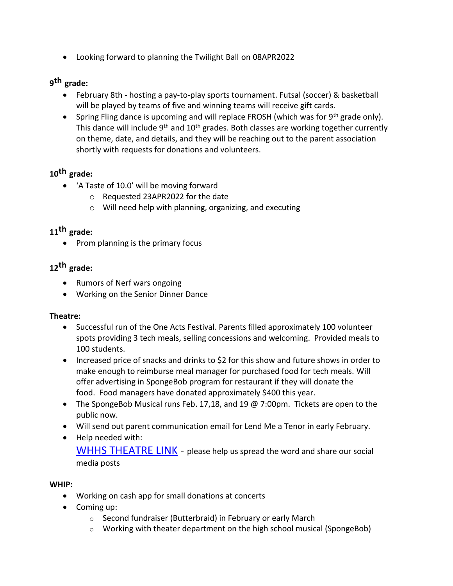Looking forward to planning the Twilight Ball on 08APR2022

# **9 th grade:**

- February 8th hosting a pay-to-play sports tournament. Futsal (soccer) & basketball will be played by teams of five and winning teams will receive gift cards.
- **Spring Fling dance is upcoming and will replace FROSH (which was for 9th grade only).** This dance will include  $9<sup>th</sup>$  and  $10<sup>th</sup>$  grades. Both classes are working together currently on theme, date, and details, and they will be reaching out to the parent association shortly with requests for donations and volunteers.

# **10th grade:**

- 'A Taste of 10.0' will be moving forward
	- o Requested 23APR2022 for the date
	- o Will need help with planning, organizing, and executing

# **11th grade:**

 $\bullet$  Prom planning is the primary focus

# **12th grade:**

- Rumors of Nerf wars ongoing
- Working on the Senior Dinner Dance

# **Theatre:**

- Successful run of the One Acts Festival. Parents filled approximately 100 volunteer spots providing 3 tech meals, selling concessions and welcoming. Provided meals to 100 students.
- Increased price of snacks and drinks to \$2 for this show and future shows in order to make enough to reimburse meal manager for purchased food for tech meals. Will offer advertising in SpongeBob program for restaurant if they will donate the food. Food managers have donated approximately \$400 this year.
- The SpongeBob Musical runs Feb. 17,18, and 19 @ 7:00pm. Tickets are open to the public now.
- Will send out parent communication email for Lend Me a Tenor in early February.
- Help needed with: [WHHS THEATRE LINK](https://sites.google.com/view/whhstheatredepartment/home?authuser=0) - please help us spread the word and share our social media posts

# **WHIP:**

- Working on cash app for small donations at concerts
- Coming up:
	- o Second fundraiser (Butterbraid) in February or early March
	- o Working with theater department on the high school musical (SpongeBob)